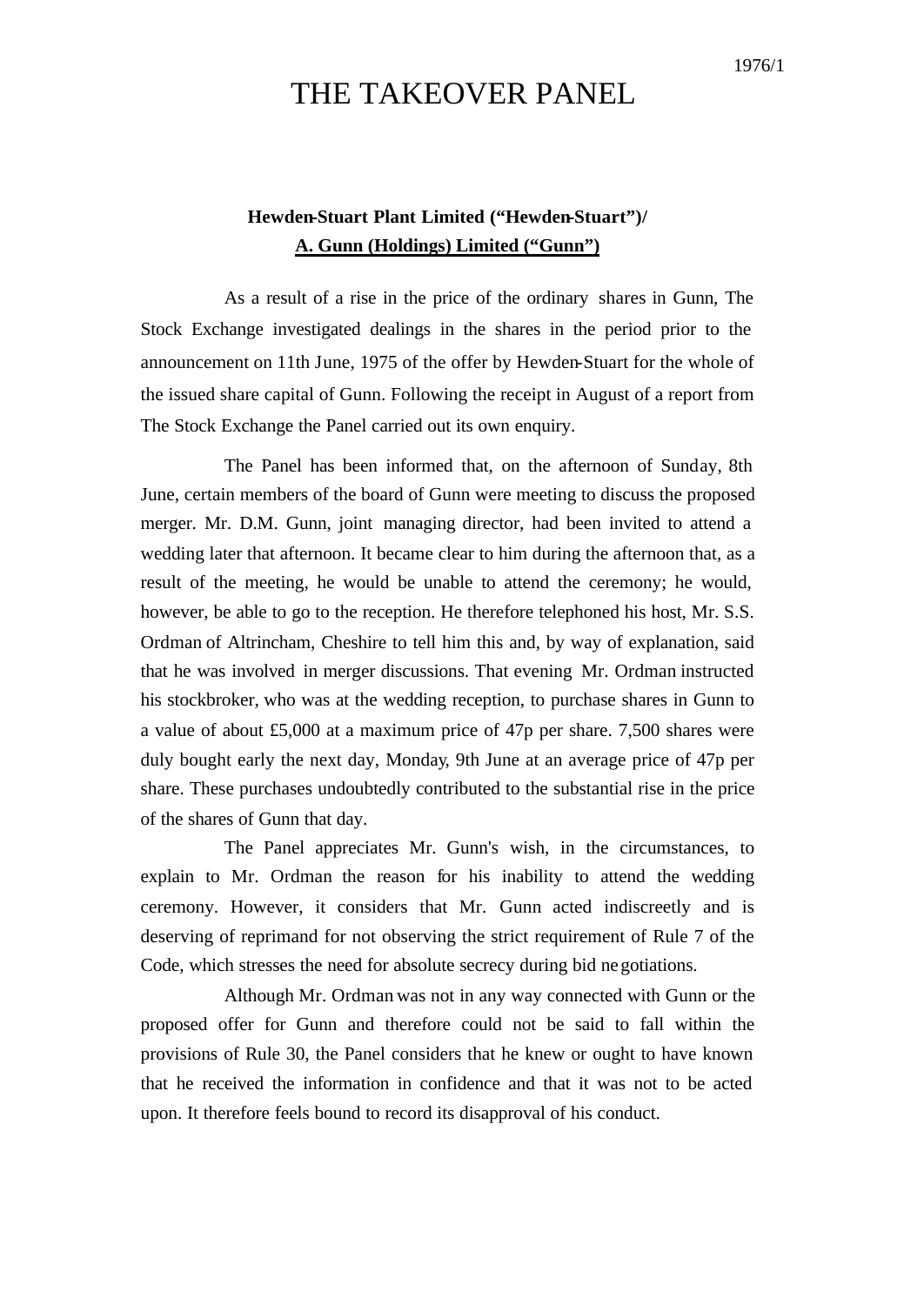## THE TAKEOVER PANEL

## **Hewden-Stuart Plant Limited ("Hewden-Stuart")/ A. Gunn (Holdings) Limited ("Gunn")**

As a result of a rise in the price of the ordinary shares in Gunn, The Stock Exchange investigated dealings in the shares in the period prior to the announcement on 11th June, 1975 of the offer by Hewden-Stuart for the whole of the issued share capital of Gunn. Following the receipt in August of a report from The Stock Exchange the Panel carried out its own enquiry.

The Panel has been informed that, on the afternoon of Sunday, 8th June, certain members of the board of Gunn were meeting to discuss the proposed merger. Mr. D.M. Gunn, joint managing director, had been invited to attend a wedding later that afternoon. It became clear to him during the afternoon that, as a result of the meeting, he would be unable to attend the ceremony; he would, however, be able to go to the reception. He therefore telephoned his host, Mr. S.S. Ordman of Altrincham, Cheshire to tell him this and, by way of explanation, said that he was involved in merger discussions. That evening Mr. Ordman instructed his stockbroker, who was at the wedding reception, to purchase shares in Gunn to a value of about £5,000 at a maximum price of 47p per share. 7,500 shares were duly bought early the next day, Monday, 9th June at an average price of 47p per share. These purchases undoubtedly contributed to the substantial rise in the price of the shares of Gunn that day.

The Panel appreciates Mr. Gunn's wish, in the circumstances, to explain to Mr. Ordman the reason for his inability to attend the wedding ceremony. However, it considers that Mr. Gunn acted indiscreetly and is deserving of reprimand for not observing the strict requirement of Rule 7 of the Code, which stresses the need for absolute secrecy during bid negotiations.

Although Mr. Ordman was not in any way connected with Gunn or the proposed offer for Gunn and therefore could not be said to fall within the provisions of Rule 30, the Panel considers that he knew or ought to have known that he received the information in confidence and that it was not to be acted upon. It therefore feels bound to record its disapproval of his conduct.